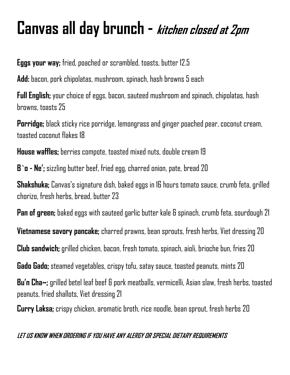## **Canvas all day brunch - kitchen closed at 2pm**

**Eggs your way;** fried, poached or scrambled, toasts, butter 12.5

**Add:** bacon, pork chipolatas, mushroom, spinach, hash browns 5 each

**Full English;** your choice of eggs, bacon, sauteed mushroom and spinach, chipolatas, hash hrowns, toasts 75

**Porridge;** black sticky rice porridge, lemongrass and ginger poached pear, coconut cream, toasted coconut flakes 18

**House waffles;** berries compote, toasted mixed nuts, double cream 19

**B`o - Ne';** sizzling butter beef, fried egg, charred onion, pate, bread 20

**Shakshuka;** Canvas's signature dish, baked eggs in 16 hours tomato sauce, crumb feta, grilled chorizo, fresh herbs, bread, butter 23

**Pan of green;** baked eggs with sauteed garlic butter kale & spinach, crumb feta, sourdough 21

**Vietnamese savory pancake;** charred prawns, bean sprouts, fresh herbs, Viet dressing 20

**Club sandwich;** grilled chicken, bacon, fresh tomato, spinach, aioli, brioche bun, fries 20

**Gado Gado;** steamed vegetables, crispy tofu, satay sauce, toasted peanuts, mints20

**Bu'n Cha~;** grilled betel leaf beef & pork meatballs, vermicelli, Asian slaw, fresh herbs, toasted peanuts, fried shallots, Viet dressing 21

**Curry Laksa;** crispy chicken, aromatic broth, rice noodle, bean sprout, fresh herbs 20

## **LET US KNOW WHEN ORDERING IF YOU HAVE ANY ALERGY OR SPECIAL DIETARY REQUIREMENTS**